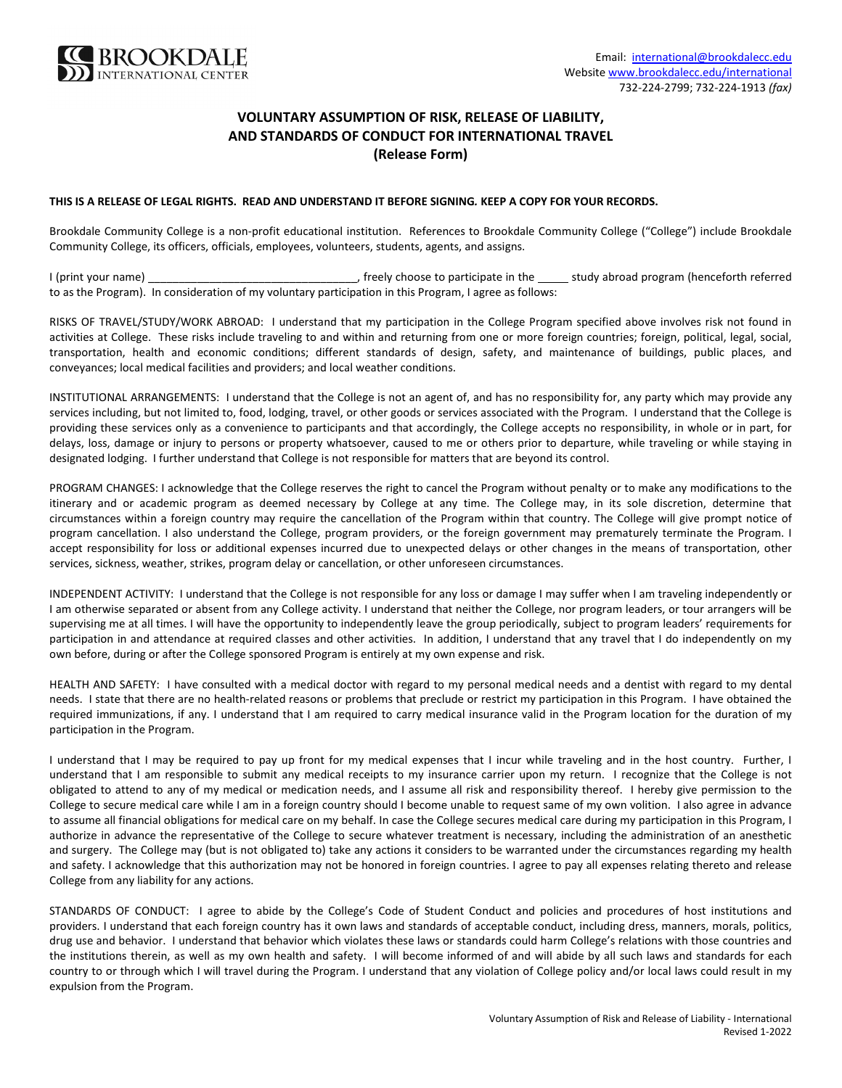

## **VOLUNTARY ASSUMPTION OF RISK, RELEASE OF LIABILITY, AND STANDARDS OF CONDUCT FOR INTERNATIONAL TRAVEL (Release Form)**

## **THIS IS A RELEASE OF LEGAL RIGHTS. READ AND UNDERSTAND IT BEFORE SIGNING***.* **KEEP A COPY FOR YOUR RECORDS.**

Brookdale Community College is a non-profit educational institution. References to Brookdale Community College ("College") include Brookdale Community College, its officers, officials, employees, volunteers, students, agents, and assigns.

I (print your name) \_\_\_\_\_\_\_\_\_\_\_\_\_\_\_\_\_\_\_\_\_\_\_\_\_\_\_\_\_\_\_\_\_\_, freely choose to participate in the study abroad program (henceforth referred to as the Program). In consideration of my voluntary participation in this Program, I agree as follows:

RISKS OF TRAVEL/STUDY/WORK ABROAD: I understand that my participation in the College Program specified above involves risk not found in activities at College. These risks include traveling to and within and returning from one or more foreign countries; foreign, political, legal, social, transportation, health and economic conditions; different standards of design, safety, and maintenance of buildings, public places, and conveyances; local medical facilities and providers; and local weather conditions.

INSTITUTIONAL ARRANGEMENTS: I understand that the College is not an agent of, and has no responsibility for, any party which may provide any services including, but not limited to, food, lodging, travel, or other goods or services associated with the Program. I understand that the College is providing these services only as a convenience to participants and that accordingly, the College accepts no responsibility, in whole or in part, for delays, loss, damage or injury to persons or property whatsoever, caused to me or others prior to departure, while traveling or while staying in designated lodging. I further understand that College is not responsible for matters that are beyond its control.

PROGRAM CHANGES: I acknowledge that the College reserves the right to cancel the Program without penalty or to make any modifications to the itinerary and or academic program as deemed necessary by College at any time. The College may, in its sole discretion, determine that circumstances within a foreign country may require the cancellation of the Program within that country. The College will give prompt notice of program cancellation. I also understand the College, program providers, or the foreign government may prematurely terminate the Program. I accept responsibility for loss or additional expenses incurred due to unexpected delays or other changes in the means of transportation, other services, sickness, weather, strikes, program delay or cancellation, or other unforeseen circumstances.

INDEPENDENT ACTIVITY: I understand that the College is not responsible for any loss or damage I may suffer when I am traveling independently or I am otherwise separated or absent from any College activity. I understand that neither the College, nor program leaders, or tour arrangers will be supervising me at all times. I will have the opportunity to independently leave the group periodically, subject to program leaders' requirements for participation in and attendance at required classes and other activities. In addition, I understand that any travel that I do independently on my own before, during or after the College sponsored Program is entirely at my own expense and risk.

HEALTH AND SAFETY: I have consulted with a medical doctor with regard to my personal medical needs and a dentist with regard to my dental needs. I state that there are no health-related reasons or problems that preclude or restrict my participation in this Program. I have obtained the required immunizations, if any. I understand that I am required to carry medical insurance valid in the Program location for the duration of my participation in the Program.

I understand that I may be required to pay up front for my medical expenses that I incur while traveling and in the host country. Further, I understand that I am responsible to submit any medical receipts to my insurance carrier upon my return. I recognize that the College is not obligated to attend to any of my medical or medication needs, and I assume all risk and responsibility thereof. I hereby give permission to the College to secure medical care while I am in a foreign country should I become unable to request same of my own volition. I also agree in advance to assume all financial obligations for medical care on my behalf. In case the College secures medical care during my participation in this Program, I authorize in advance the representative of the College to secure whatever treatment is necessary, including the administration of an anesthetic and surgery. The College may (but is not obligated to) take any actions it considers to be warranted under the circumstances regarding my health and safety. I acknowledge that this authorization may not be honored in foreign countries. I agree to pay all expenses relating thereto and release College from any liability for any actions.

STANDARDS OF CONDUCT: I agree to abide by the College's Code of Student Conduct and policies and procedures of host institutions and providers. I understand that each foreign country has it own laws and standards of acceptable conduct, including dress, manners, morals, politics, drug use and behavior. I understand that behavior which violates these laws or standards could harm College's relations with those countries and the institutions therein, as well as my own health and safety. I will become informed of and will abide by all such laws and standards for each country to or through which I will travel during the Program. I understand that any violation of College policy and/or local laws could result in my expulsion from the Program.